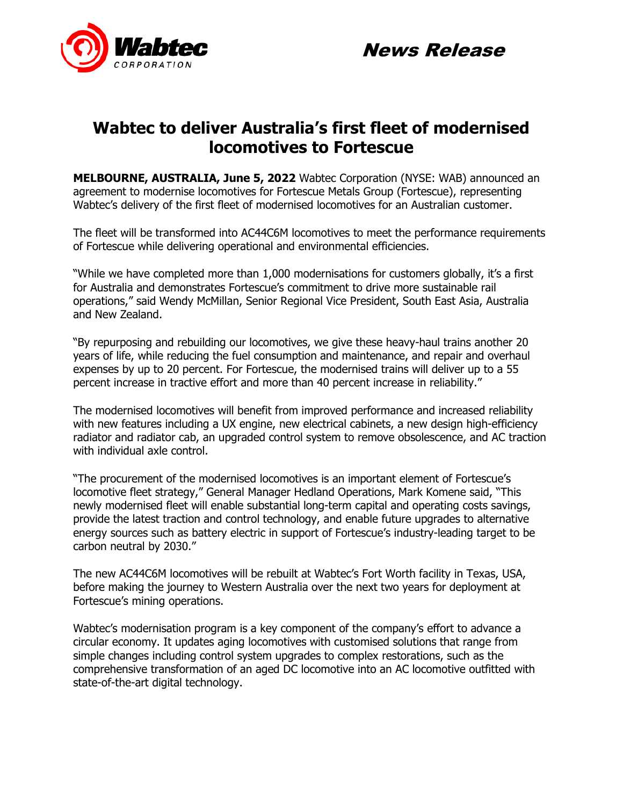



## **Wabtec to deliver Australia's first fleet of modernised locomotives to Fortescue**

**MELBOURNE, AUSTRALIA, June 5, 2022** Wabtec Corporation (NYSE: WAB) announced an agreement to modernise locomotives for Fortescue Metals Group (Fortescue), representing Wabtec's delivery of the first fleet of modernised locomotives for an Australian customer.

The fleet will be transformed into AC44C6M locomotives to meet the performance requirements of Fortescue while delivering operational and environmental efficiencies.

"While we have completed more than 1,000 modernisations for customers globally, it's a first for Australia and demonstrates Fortescue's commitment to drive more sustainable rail operations," said Wendy McMillan, Senior Regional Vice President, South East Asia, Australia and New Zealand.

"By repurposing and rebuilding our locomotives, we give these heavy-haul trains another 20 years of life, while reducing the fuel consumption and maintenance, and repair and overhaul expenses by up to 20 percent. For Fortescue, the modernised trains will deliver up to a 55 percent increase in tractive effort and more than 40 percent increase in reliability."

The modernised locomotives will benefit from improved performance and increased reliability with new features including a UX engine, new electrical cabinets, a new design high-efficiency radiator and radiator cab, an upgraded control system to remove obsolescence, and AC traction with individual axle control.

"The procurement of the modernised locomotives is an important element of Fortescue's locomotive fleet strategy," General Manager Hedland Operations, Mark Komene said, "This newly modernised fleet will enable substantial long-term capital and operating costs savings, provide the latest traction and control technology, and enable future upgrades to alternative energy sources such as battery electric in support of Fortescue's industry-leading target to be carbon neutral by 2030."

The new AC44C6M locomotives will be rebuilt at Wabtec's Fort Worth facility in Texas, USA, before making the journey to Western Australia over the next two years for deployment at Fortescue's mining operations.

Wabtec's modernisation program is a key component of the company's effort to advance a circular economy. It updates aging locomotives with customised solutions that range from simple changes including control system upgrades to complex restorations, such as the comprehensive transformation of an aged DC locomotive into an AC locomotive outfitted with state-of-the-art digital technology.